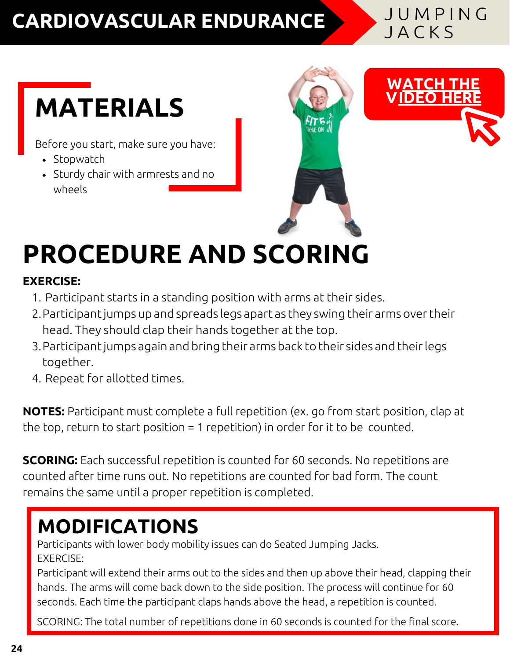### **CARDIOVASCULAR ENDURANCE**

JUMPING JACKS

## **MATERIALS**

Before you start, make sure you have:

- $\bullet$  Stopwatch
- Sturdy chair with armrests and no wheels



## **PROCEDURE AND SCORING**

#### **EXERCISE:**

- 1. Participant starts in a standing position with arms at their sides.
- 2.Participant jumps up and spreads legs apart as they swing their armsovertheir head. They should clap their hands together at the top.
- 3.Participantjumps again and bring their armsback to their sides and theirlegs together.
- 4. Repeat for allotted times.

**NOTES:** Participant must complete a full repetition (ex. go from start position, clap at the top, return to start position = 1 repetition) in order for it to be counted.

**SCORING:** Each successful repetition is counted for 60 seconds. No repetitions are counted after time runs out. No repetitions are counted for bad form. The count remains the same until a proper repetition is completed.

### **MODIFICATIONS**

Participants with lower body mobility issues can do Seated Jumping Jacks. EXERCISE:

Participant will extend their arms out to the sides and then up above their head, clapping their hands. The arms will come back down to the side position. The process will continue for 60 seconds. Each time the participant claps hands above the head, a repetition is counted.

SCORING: The total number of repetitions done in 60 seconds is counted for the final score.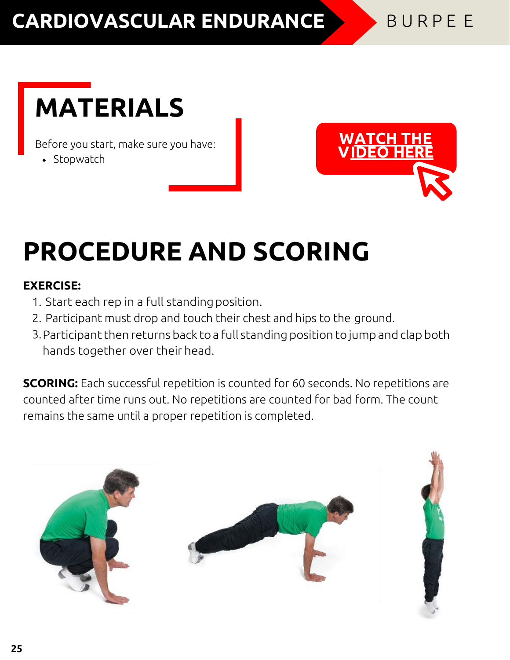### **CARDIOVASCULAR ENDURANCE** BURPEE

### **MATERIALS**

Before you start, make sure you have:

 $\bullet$  Stopwatch



### **PROCEDURE AND SCORING**

#### **EXERCISE:**

- 1. Start each rep in a full standingposition.
- 2. Participant must drop and touch their chest and hips to the ground.
- 3. Participant then returns back to a full standing position to jump and clap both hands together over their head.

**SCORING:** Each successful repetition is counted for 60 seconds. No repetitions are counted after time runs out. No repetitions are counted for bad form. The count remains the same until a proper repetition is completed.

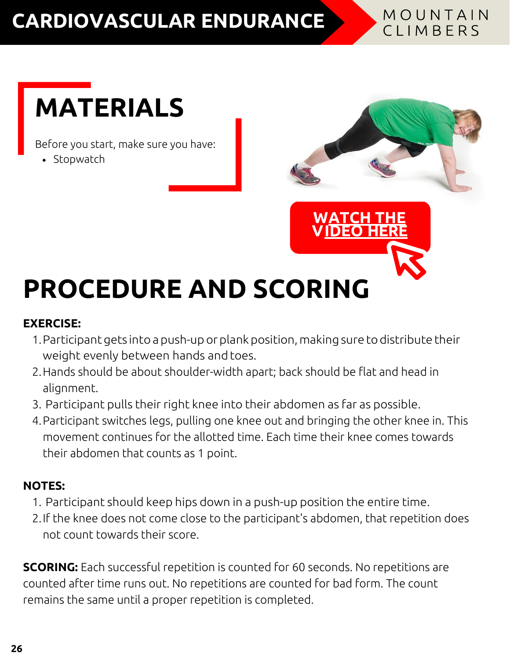### **CARDIOVASCULAR ENDURANCE**

#### MOUNTAIN CLIMBERS

### **MATERIALS**

Before you start, make sure you have:

• Stopwatch



## **PROCEDURE AND SCORING**

#### **EXERCISE:**

- 1.Participantgets into a push-up or plankposition, makingsure todistribute their weight evenly between hands and toes.
- 2.Hands should be about shoulder-width apart; back should be flat and head in alignment.
- 3. Participant pulls their right knee into their abdomen as far as possible.
- 4.Participant switches legs, pulling one knee out and bringing the other knee in. This movement continues for the allotted time. Each time their knee comes towards their abdomen that counts as 1 point.

#### **NOTES:**

- 1. Participant should keep hips down in a push-up position the entire time.
- 2.If the knee does not come close to the participant's abdomen, that repetition does not count towards their score.

**SCORING:** Each successful repetition is counted for 60 seconds. No repetitions are counted after time runs out. No repetitions are counted for bad form. The count remains the same until a proper repetition is completed.